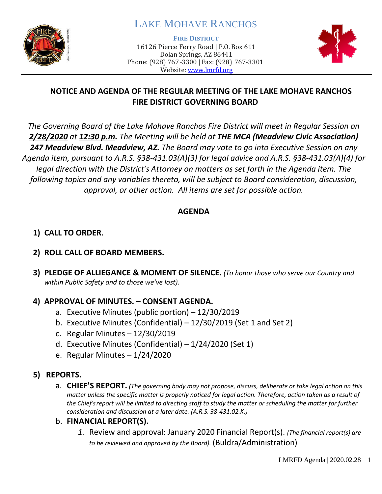

# LAKE MOHAVE RANCHOS

**FIRE DISTRICT**

16126 Pierce Ferry Road | P.O. Box 611 Dolan Springs, AZ 86441 Phone: (928) 767-3300 | Fax: (928) 767-3301 Website: [www.lmrfd.org](http://www.lmrfd.org/)



## **NOTICE AND AGENDA OF THE REGULAR MEETING OF THE LAKE MOHAVE RANCHOS FIRE DISTRICT GOVERNING BOARD**

*The Governing Board of the Lake Mohave Ranchos Fire District will meet in Regular Session on 2/28/2020 at 12:30 p.m. The Meeting will be held at THE MCA (Meadview Civic Association) 247 Meadview Blvd. Meadview, AZ. The Board may vote to go into Executive Session on any Agenda item, pursuant to A.R.S. §38-431.03(A)(3) for legal advice and A.R.S. §38-431.03(A)(4) for legal direction with the District's Attorney on matters as set forth in the Agenda item. The following topics and any variables thereto, will be subject to Board consideration, discussion, approval, or other action. All items are set for possible action.* 

#### **AGENDA**

## **1) CALL TO ORDER.**

#### **2) ROLL CALL OF BOARD MEMBERS.**

**3) PLEDGE OF ALLIEGANCE & MOMENT OF SILENCE.** *(To honor those who serve our Country and within Public Safety and to those we've lost).*

#### **4) APPROVAL OF MINUTES. – CONSENT AGENDA.**

- a. Executive Minutes (public portion) 12/30/2019
- b. Executive Minutes (Confidential) 12/30/2019 (Set 1 and Set 2)
- c. Regular Minutes 12/30/2019
- d. Executive Minutes (Confidential) 1/24/2020 (Set 1)
- e. Regular Minutes 1/24/2020

#### **5) REPORTS.**

a. **CHIEF'S REPORT.** *(The governing body may not propose, discuss, deliberate or take legal action on this matter unless the specific matter is properly noticed for legal action. Therefore, action taken as a result of the Chief's report will be limited to directing staff to study the matter or scheduling the matter for further consideration and discussion at a later date. (A.R.S. 38-431.02.K.)*

#### b. **FINANCIAL REPORT(S).**

*1.* Review and approval: January 2020 Financial Report(s). *(The financial report(s) are to be reviewed and approved by the Board).* (Buldra/Administration)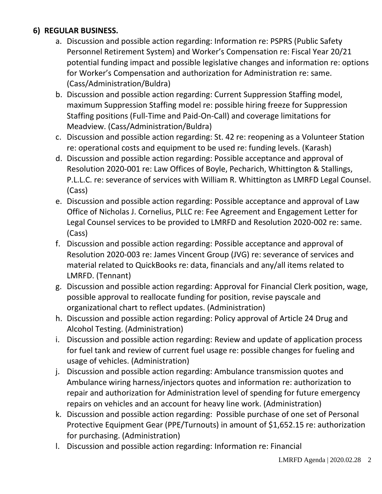## **6) REGULAR BUSINESS.**

- a. Discussion and possible action regarding: Information re: PSPRS (Public Safety Personnel Retirement System) and Worker's Compensation re: Fiscal Year 20/21 potential funding impact and possible legislative changes and information re: options for Worker's Compensation and authorization for Administration re: same. (Cass/Administration/Buldra)
- b. Discussion and possible action regarding: Current Suppression Staffing model, maximum Suppression Staffing model re: possible hiring freeze for Suppression Staffing positions (Full-Time and Paid-On-Call) and coverage limitations for Meadview. (Cass/Administration/Buldra)
- c. Discussion and possible action regarding: St. 42 re: reopening as a Volunteer Station re: operational costs and equipment to be used re: funding levels. (Karash)
- d. Discussion and possible action regarding: Possible acceptance and approval of Resolution 2020-001 re: Law Offices of Boyle, Pecharich, Whittington & Stallings, P.L.L.C. re: severance of services with William R. Whittington as LMRFD Legal Counsel. (Cass)
- e. Discussion and possible action regarding: Possible acceptance and approval of Law Office of Nicholas J. Cornelius, PLLC re: Fee Agreement and Engagement Letter for Legal Counsel services to be provided to LMRFD and Resolution 2020-002 re: same. (Cass)
- f. Discussion and possible action regarding: Possible acceptance and approval of Resolution 2020-003 re: James Vincent Group (JVG) re: severance of services and material related to QuickBooks re: data, financials and any/all items related to LMRFD. (Tennant)
- g. Discussion and possible action regarding: Approval for Financial Clerk position, wage, possible approval to reallocate funding for position, revise payscale and organizational chart to reflect updates. (Administration)
- h. Discussion and possible action regarding: Policy approval of Article 24 Drug and Alcohol Testing. (Administration)
- i. Discussion and possible action regarding: Review and update of application process for fuel tank and review of current fuel usage re: possible changes for fueling and usage of vehicles. (Administration)
- j. Discussion and possible action regarding: Ambulance transmission quotes and Ambulance wiring harness/injectors quotes and information re: authorization to repair and authorization for Administration level of spending for future emergency repairs on vehicles and an account for heavy line work. (Administration)
- k. Discussion and possible action regarding: Possible purchase of one set of Personal Protective Equipment Gear (PPE/Turnouts) in amount of \$1,652.15 re: authorization for purchasing. (Administration)
- l. Discussion and possible action regarding: Information re: Financial